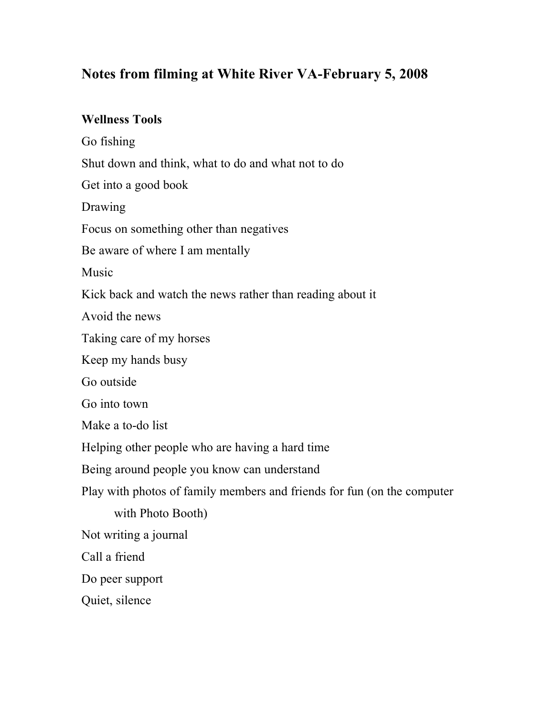# **Notes from filming at White River VA-February 5, 2008**

### **Wellness Tools**

Go fishing

Shut down and think, what to do and what not to do

Get into a good book

Drawing

Focus on something other than negatives

Be aware of where I am mentally

Music

Kick back and watch the news rather than reading about it

Avoid the news

Taking care of my horses

Keep my hands busy

Go outside

Go into town

Make a to-do list

Helping other people who are having a hard time

Being around people you know can understand

Play with photos of family members and friends for fun (on the computer

with Photo Booth)

Not writing a journal

Call a friend

Do peer support

Quiet, silence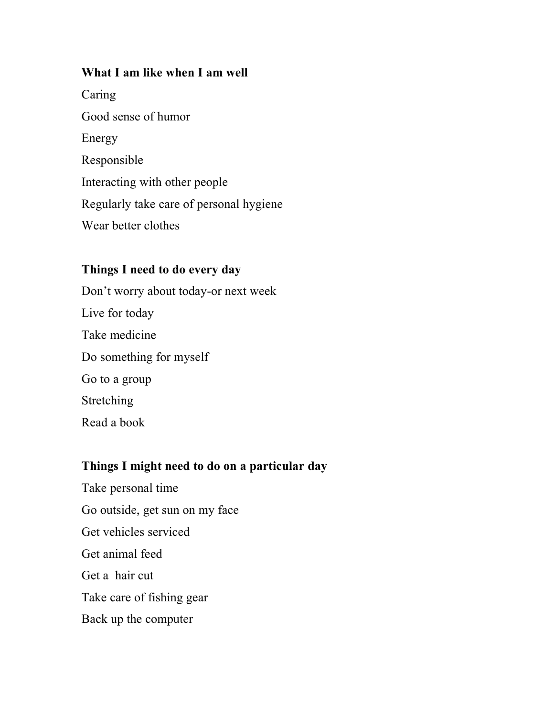#### **What I am like when I am well**

Caring Good sense of humor Energy Responsible Interacting with other people Regularly take care of personal hygiene Wear better clothes

### **Things I need to do every day**

Don't worry about today-or next week Live for today Take medicine Do something for myself Go to a group Stretching Read a book

# **Things I might need to do on a particular day**

Take personal time Go outside, get sun on my face Get vehicles serviced Get animal feed Get a hair cut Take care of fishing gear Back up the computer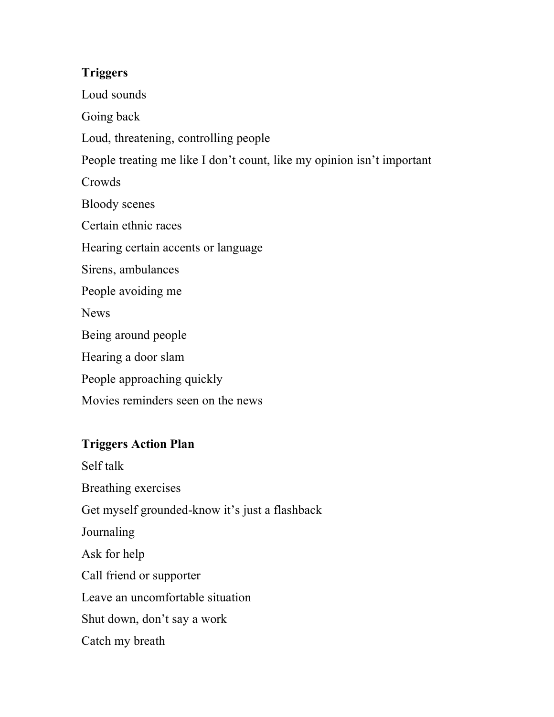# **Triggers**

Loud sounds

Going back

Loud, threatening, controlling people

People treating me like I don't count, like my opinion isn't important

Crowds

Bloody scenes

Certain ethnic races

Hearing certain accents or language

Sirens, ambulances

People avoiding me

**News** 

Being around people

Hearing a door slam

People approaching quickly

Movies reminders seen on the news

# **Triggers Action Plan**

Self talk Breathing exercises Get myself grounded-know it's just a flashback Journaling Ask for help Call friend or supporter Leave an uncomfortable situation Shut down, don't say a work Catch my breath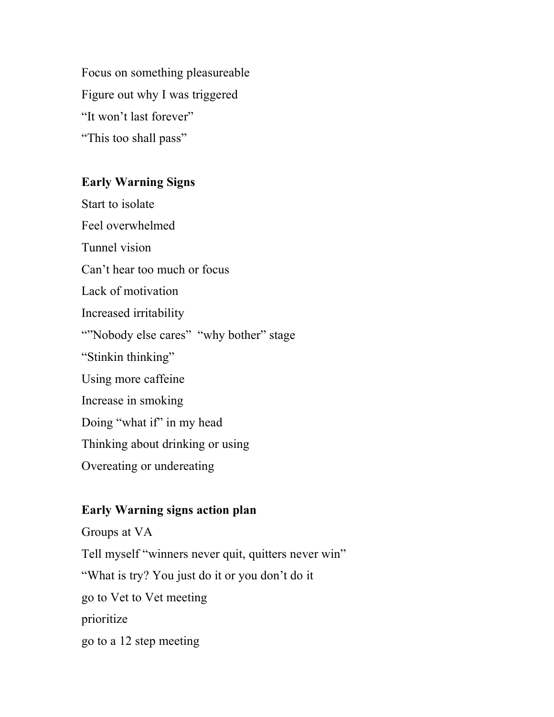Focus on something pleasureable Figure out why I was triggered "It won't last forever" "This too shall pass"

# **Early Warning Signs**

Start to isolate Feel overwhelmed Tunnel vision Can't hear too much or focus Lack of motivation Increased irritability ""Nobody else cares" "why bother" stage "Stinkin thinking" Using more caffeine Increase in smoking Doing "what if" in my head Thinking about drinking or using Overeating or undereating

# **Early Warning signs action plan**

Groups at VA Tell myself "winners never quit, quitters never win" "What is try? You just do it or you don't do it go to Vet to Vet meeting prioritize go to a 12 step meeting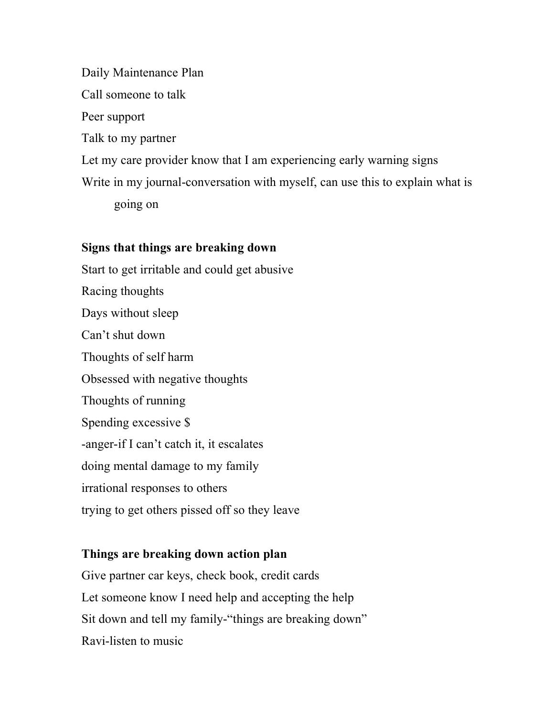Daily Maintenance Plan Call someone to talk Peer support Talk to my partner Let my care provider know that I am experiencing early warning signs Write in my journal-conversation with myself, can use this to explain what is going on

# **Signs that things are breaking down**

Start to get irritable and could get abusive Racing thoughts Days without sleep Can't shut down Thoughts of self harm Obsessed with negative thoughts Thoughts of running Spending excessive \$ -anger-if I can't catch it, it escalates doing mental damage to my family irrational responses to others trying to get others pissed off so they leave

# **Things are breaking down action plan**

Give partner car keys, check book, credit cards Let someone know I need help and accepting the help Sit down and tell my family-"things are breaking down" Ravi-listen to music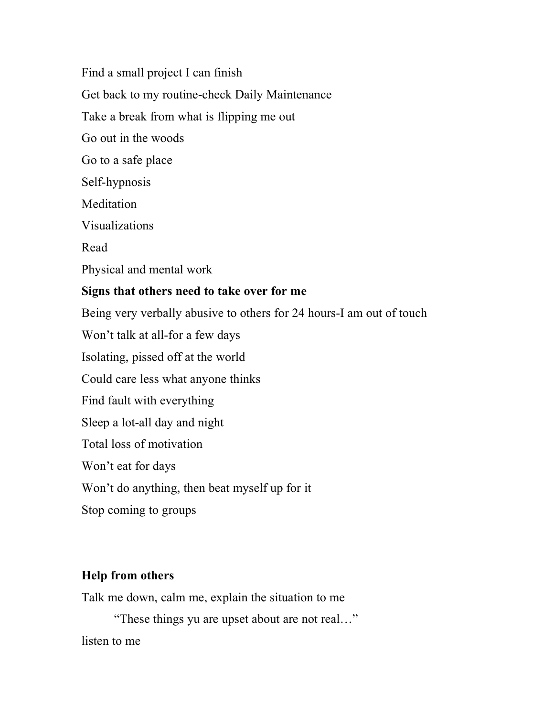Find a small project I can finish Get back to my routine-check Daily Maintenance Take a break from what is flipping me out Go out in the woods Go to a safe place Self-hypnosis Meditation Visualizations Read Physical and mental work **Signs that others need to take over for me** Being very verbally abusive to others for 24 hours-I am out of touch Won't talk at all-for a few days Isolating, pissed off at the world Could care less what anyone thinks Find fault with everything Sleep a lot-all day and night Total loss of motivation Won't eat for days Won't do anything, then beat myself up for it Stop coming to groups

### **Help from others**

Talk me down, calm me, explain the situation to me

"These things yu are upset about are not real…"

listen to me